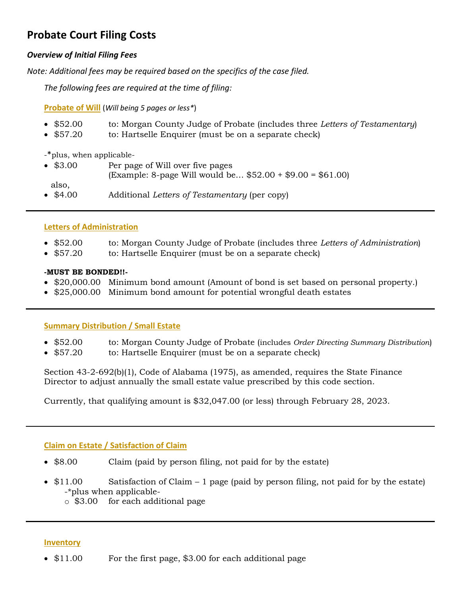# **Probate Court Filing Costs**

# *Overview of Initial Filing Fees*

*Note: Additional fees may be required based on the specifics of the case filed.*

*The following fees are required at the time of filing:*

**Probate of Will** (*Will being 5 pages or less\**)

- \$52.00 to: Morgan County Judge of Probate (includes three *Letters of Testamentary*)
- \$57.20 to: Hartselle Enquirer (must be on a separate check)

-\*plus, when applicable-

• \$3.00 Per page of Will over five pages (Example: 8-page Will would be… \$52.00 + \$9.00 = \$61.00) also, • \$4.00 Additional *Letters of Testamentary* (per copy)

# **Letters of Administration**

- \$52.00 to: Morgan County Judge of Probate (includes three *Letters of Administration*)
- \$57.20 to: Hartselle Enquirer (must be on a separate check)

## **-MUST BE BONDED!!-**

- \$20,000.00 Minimum bond amount (Amount of bond is set based on personal property.)
- \$25,000.00 Minimum bond amount for potential wrongful death estates

# **Summary Distribution / Small Estate**

- \$52.00 to: Morgan County Judge of Probate (includes *Order Directing Summary Distribution*)
- \$57.20 to: Hartselle Enquirer (must be on a separate check)

Section 43-2-692(b)(1), Code of Alabama (1975), as amended, requires the State Finance Director to adjust annually the small estate value prescribed by this code section.

Currently, that qualifying amount is \$32,047.00 (or less) through February 28, 2023.

# **Claim on Estate / Satisfaction of Claim**

- \$8.00 Claim (paid by person filing, not paid for by the estate)
- \$11.00 Satisfaction of Claim 1 page (paid by person filing, not paid for by the estate) -\*plus when applicable
	- o \$3.00 for each additional page

### **Inventory**

• \$11.00 For the first page, \$3.00 for each additional page